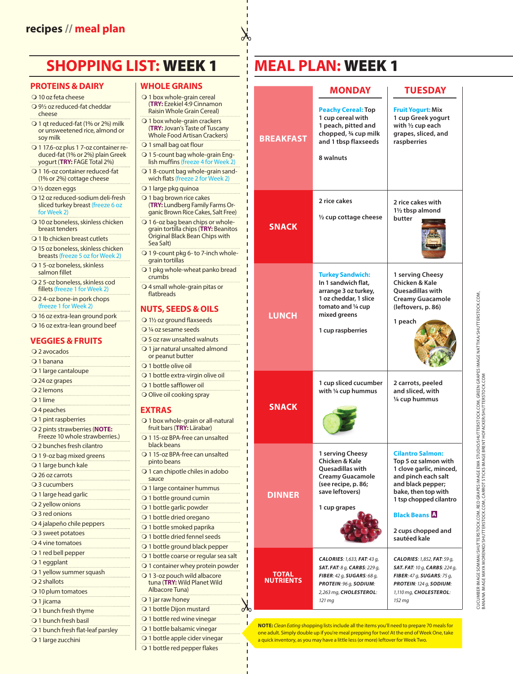# **SHOPPING LIST:** WEEK 1

#### **PROTEINS & DAIRY**

- 10 oz feta cheese
- 9½ oz reduced-fat cheddar cheese
- O 1 qt reduced-fat (1% or 2%) milk or unsweetened rice, almond or soy milk
- O 1 17.6-oz plus 1 7-oz container reduced-fat (1% or 2%) plain Greek yogurt (**TRY:** FAGE Total 2%)
- O 1 16-oz container reduced-fat (1% or 2%) cottage cheese
- ½ dozen eggs
- 12 oz reduced-sodium deli-fresh sliced turkey breast (freeze 6 oz for Week 2)
- 10 oz boneless, skinless chicken breast tenders
- O 1 lb chicken breast cutlets
- Q 15 oz boneless, skinless chicken breasts (freeze 5 oz for Week 2)
- Q 1 5-oz boneless, skinless
- salmon fillet 2 5-oz boneless, skinless cod
- fillets (freeze 1 for Week 2)
- Q 24-oz bone-in pork chops (freeze 1 for We
- 16 oz extra-lean ground pork
- 16 oz extra-lean ground beef

#### **VEGGIES & FRUITS**

| Q 2 avocados                                                    |
|-----------------------------------------------------------------|
| $\bigcirc$ 1 banana                                             |
| O 1 large cantaloupe                                            |
| O 24 oz grapes                                                  |
| Q 2 lemons                                                      |
| O 1 lime                                                        |
| O 4 peaches                                                     |
| O 1 pint raspberries                                            |
| O 2 pints strawberries (NOTE:<br>Freeze 10 whole strawberries.) |
| O 2 bunches fresh cilantro                                      |
| O 19-oz bag mixed greens<br>.                                   |
| O 1 large bunch kale                                            |
| O 26 oz carrots                                                 |
| O 3 cucumbers                                                   |
| O 1 large head garlic                                           |
| O 2 yellow onions                                               |
| ○ 3 red onions                                                  |
| O 4 jalapeño chile peppers                                      |
| O 3 sweet potatoes                                              |
| $Q$ 4 vine tomatoes                                             |
| O 1 red bell pepper                                             |
| O 1 eggplant                                                    |
| O 1 yellow summer squash<br>.                                   |
| $Q$ 2 shallots<br>.                                             |
| O 10 plum tomatoes                                              |
| O 1 jicama                                                      |
| O 1 bunch fresh thyme<br>.                                      |
| ○ 1 bunch fresh basil                                           |
| O 1 bunch fresh flat-leaf parsley                               |

#### O 1 large zucchini

- **WHOLE GRAINS**  O 1 box whole-grain cereal (**TRY:** Ezekiel 4:9 Cinnamon Raisin Whole Grain Cereal) O 1 box whole-grain crackers (**TRY:** Jovan's Taste of Tuscany Whole Food Artisan Crackers) O 1 small bag oat flour 1 5-count bag whole-grain English muffins (freeze 4 for Wee O 18-count bag whole-grain sandwich flats (freeze 2 for Week 2) O 1 large pkg quinoa O 1 bag brown rice cakes (**TRY:** Lundberg Family Farms Organic Brown Rice Cakes, Salt Free) 1 6-oz bag bean chips or wholegrain tortilla chips (**TRY:** Beanitos Original Black Bean Chips with Sea Salt) O 19-count pkg 6- to 7-inch wholegrain tortillas O 1 pkg whole-wheat panko bread crumbs 4 small whole-grain pitas or flatbreads **NUTS, SEEDS & OILS** 1½ oz ground flaxseeds ¼ oz sesame seeds 5 oz raw unsalted walnuts 1 jar natural unsalted almond or peanut butter O 1 bottle olive oil O 1 bottle extra-virgin olive oil O 1 bottle safflower oil O Olive oil cooking spray **EXTRAS** O 1 box whole-grain or all-natural fruit bars (**TRY:** Lärabar) O 115-oz BPA-free can unsalted black beans 1 15-oz BPA-free can unsalted pinto beans O 1 can chipotle chiles in adobo sauce O 1 large container hummus O 1 bottle ground cumin O 1 bottle garlic powder O 1 bottle dried oregano O 1 bottle smoked paprika O 1 bottle dried fennel seeds O 1 bottle ground black pepper
- O 1 bottle coarse or regular sea salt
- O 1 container whey protein powder
	- O 13-oz pouch wild albacore tuna (**TRY:** Wild Planet Wild Albacore Tuna)

 $\delta$ 

- O 1 jar raw honey
- O 1 bottle Dijon mustard
- O 1 bottle red wine vinegar
- O 1 bottle balsamic vinegar
- O 1 bottle apple cider vinegar
- O 1 bottle red pepper flakes

## **MEAL PLAN:** WEEK 1

|                                  | <b>MONDAY</b>                                                                                                                                                                | <b>TUESDAY</b>                                                                                                                                                                                                                        |
|----------------------------------|------------------------------------------------------------------------------------------------------------------------------------------------------------------------------|---------------------------------------------------------------------------------------------------------------------------------------------------------------------------------------------------------------------------------------|
| <b>BREAKFAST</b>                 | <b>Peachy Cereal: Top</b><br>1 cup cereal with<br>1 peach, pitted and<br>chopped, 3/4 cup milk<br>and 1 tbsp flaxseeds<br>8 walnuts                                          | <b>Fruit Yogurt: Mix</b><br>1 cup Greek yogurt<br>with 1/2 cup each<br>grapes, sliced, and<br>raspberries                                                                                                                             |
| <b>SNACK</b>                     | 2 rice cakes<br>1/2 cup cottage cheese                                                                                                                                       | 2 rice cakes with<br>1 <sup>1</sup> / <sub>2</sub> tbsp almond<br>butter                                                                                                                                                              |
| <b>LUNCH</b>                     | <b>Turkey Sandwich:</b><br>In 1 sandwich flat,<br>arrange 3 oz turkey,<br>1 oz cheddar, 1 slice<br>tomato and 1/4 cup<br>mixed greens<br>1 cup raspberries                   | 1 serving Cheesy<br>Chicken & Kale<br><b>Ouesadillas with</b><br><b>Creamy Guacamole</b><br>(leftovers, p. 86)<br>1 peach                                                                                                             |
| <b>SNACK</b>                     | 1 cup sliced cucumber<br>with 1/4 cup hummus                                                                                                                                 | 2 carrots, peeled<br>and sliced, with<br>1/4 cup hummus                                                                                                                                                                               |
| <b>DINNER</b>                    | 1 serving Cheesy<br>Chicken & Kale<br><b>Ouesadillas with</b><br><b>Creamy Guacamole</b><br>(see recipe, p. 86;<br>save leftovers)<br>1 cup grapes                           | <b>Cilantro Salmon:</b><br>Top 5 oz salmon with<br>1 clove garlic, minced,<br>and pinch each salt<br>and black pepper;<br>bake, then top with<br>1 tsp chopped cilantro<br><b>Black Beans A</b><br>2 cups chopped and<br>sautéed kale |
| <b>TOTAL</b><br><b>NUTRIENTS</b> | <b>CALORIES: 1,633, FAT: 43 g,</b><br><b>SAT. FAT:</b> 8 g, <b>CARBS:</b> 229 g,<br>FIBER: 42 q, SUGARS: 68 q,<br>PROTEIN: 96 q, SODIUM:<br>2,263 mg, CHOLESTEROL:<br>121 mg | <b>CALORIES: 1,852, FAT: 59 g,</b><br><b>SAT. FAT: 10 g, CARBS: 224 g,</b><br>FIBER: 47 g, SUGARS: 75 g,<br>PROTEIN: 124 g, SODIUM:<br>1,110 mg, CHOLESTEROL:<br>152 mg                                                               |

**NOTE:** *Clean Eating* shopping lists include all the items you'll need to prepare 70 meals for one adult. Simply double up if you're meal prepping for two! At the end of Week One, take a quick inventory, as you may have a little less (or more) leftover for Week Two.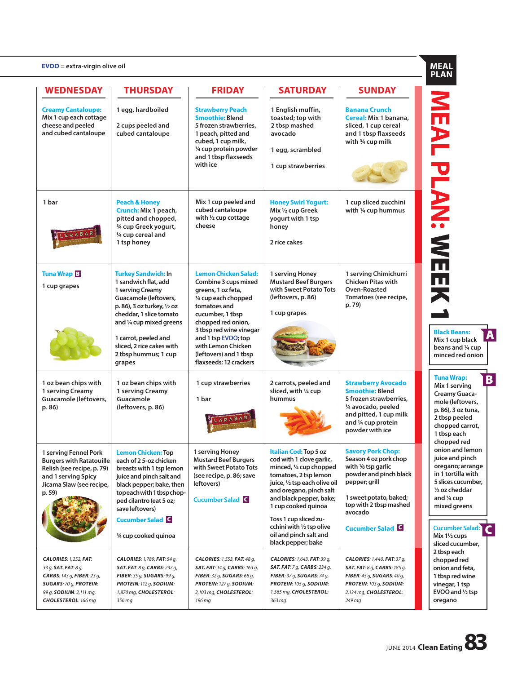#### **EVOO = extra-virgin olive oil**

| $EVOO =$ extra-virgin olive oil                                                                                                                                       |                                                                                                                                                                                                                                                                              |                                                                                                                                                                                                                                                                                         |                                                                                                                                                                                                                                                                                                                           |                                                                                                                                                                                                                         |
|-----------------------------------------------------------------------------------------------------------------------------------------------------------------------|------------------------------------------------------------------------------------------------------------------------------------------------------------------------------------------------------------------------------------------------------------------------------|-----------------------------------------------------------------------------------------------------------------------------------------------------------------------------------------------------------------------------------------------------------------------------------------|---------------------------------------------------------------------------------------------------------------------------------------------------------------------------------------------------------------------------------------------------------------------------------------------------------------------------|-------------------------------------------------------------------------------------------------------------------------------------------------------------------------------------------------------------------------|
| <b>WEDNESDAY</b>                                                                                                                                                      | <b>THURSDAY</b>                                                                                                                                                                                                                                                              | <b>FRIDAY</b>                                                                                                                                                                                                                                                                           | <b>SATURDAY</b>                                                                                                                                                                                                                                                                                                           | <b>SUNDAY</b>                                                                                                                                                                                                           |
| <b>Creamy Cantaloupe:</b><br>Mix 1 cup each cottage<br>cheese and peeled<br>and cubed cantaloupe                                                                      | 1 egg, hardboiled<br>2 cups peeled and<br>cubed cantaloupe                                                                                                                                                                                                                   | <b>Strawberry Peach</b><br><b>Smoothie: Blend</b><br>5 frozen strawberries,<br>1 peach, pitted and<br>cubed, 1 cup milk,<br>1/4 cup protein powder<br>and 1 tbsp flaxseeds<br>with ice                                                                                                  | 1 English muffin,<br>toasted; top with<br>2 tbsp mashed<br>avocado<br>1 egg, scrambled<br>1 cup strawberries                                                                                                                                                                                                              | <b>Banana Crunch</b><br>Cereal: Mix 1 banana,<br>sliced, 1 cup cereal<br>and 1 tbsp flaxseeds<br>with $\frac{3}{4}$ cup milk                                                                                            |
| 1 bar<br>LARABAR                                                                                                                                                      | <b>Peach &amp; Honey</b><br>Crunch: Mix 1 peach,<br>pitted and chopped,<br>3/4 cup Greek yogurt,<br>1/4 cup cereal and<br>1 tsp honey                                                                                                                                        | Mix 1 cup peeled and<br>cubed cantaloupe<br>with $\frac{1}{2}$ cup cottage<br>cheese                                                                                                                                                                                                    | <b>Honey Swirl Yogurt:</b><br>Mix 1/2 cup Greek<br>yogurt with 1 tsp<br>honey<br>2 rice cakes                                                                                                                                                                                                                             | 1 cup sliced zucchini<br>with 1/4 cup hummus                                                                                                                                                                            |
| <b>Tuna Wrap B</b><br>1 cup grapes                                                                                                                                    | <b>Turkey Sandwich: In</b><br>1 sandwich flat, add<br>1 serving Creamy<br>Guacamole (leftovers,<br>p. 86), 3 oz turkey, 1/2 oz<br>cheddar, 1 slice tomato<br>and 1/4 cup mixed greens<br>1 carrot, peeled and<br>sliced, 2 rice cakes with<br>2 tbsp hummus; 1 cup<br>grapes | <b>Lemon Chicken Salad:</b><br>Combine 3 cups mixed<br>greens, 1 oz feta,<br>1/4 cup each chopped<br>tomatoes and<br>cucumber, 1 tbsp<br>chopped red onion,<br>3 tbsp red wine vinegar<br>and 1 tsp EVOO; top<br>with Lemon Chicken<br>(leftovers) and 1 tbsp<br>flaxseeds; 12 crackers | 1 serving Honey<br><b>Mustard Beef Burgers</b><br>with Sweet Potato Tots<br>(leftovers, p. 86)<br>1 cup grapes                                                                                                                                                                                                            | 1 serving Chimichurri<br><b>Chicken Pitas with</b><br>Oven-Roasted<br>Tomatoes (see recipe,<br>p. 79)                                                                                                                   |
| 1 oz bean chips with<br>1 serving Creamy<br>Guacamole (leftovers,<br>p. 86)                                                                                           | 1 oz bean chips with<br>1 serving Creamy<br>Guacamole<br>(leftovers, p. 86)                                                                                                                                                                                                  | 1 cup strawberries<br>1 bar<br><b><i><u>ARABAR</u></i></b>                                                                                                                                                                                                                              | 2 carrots, peeled and<br>sliced, with 1/4 cup<br>hummus                                                                                                                                                                                                                                                                   | <b>Strawberry Avocado</b><br><b>Smoothie: Blend</b><br>5 frozen strawberries,<br>1/4 avocado, peeled<br>and pitted, 1 cup milk<br>and 1/4 cup protein<br>powder with ice                                                |
| 1 serving Fennel Pork<br>Burgers with Ratatouille<br>Relish (see recipe, p. 79)<br>and 1 serving Spicy<br>Jicama Slaw (see recipe,<br>p. 59)                          | <b>Lemon Chicken: Top</b><br>each of 25-oz chicken<br>breasts with 1 tsp lemon<br>juice and pinch salt and<br>black pepper; bake, then<br>topeach with 1 tbspchop-<br>ped cilantro (eat 5 oz;<br>save leftovers)<br><b>Cucumber Salad G</b><br>3/4 cup cooked quinoa         | 1 serving Honey<br><b>Mustard Beef Burgers</b><br>with Sweet Potato Tots<br>(see recipe, p. 86; save<br>leftovers)<br><b>Cucumber Salad G</b>                                                                                                                                           | Italian Cod: Top 5 oz<br>cod with 1 clove garlic,<br>minced, 1/4 cup chopped<br>tomatoes, 2 tsp lemon<br>juice, 1/2 tsp each olive oil<br>and oregano, pinch salt<br>and black pepper, bake;<br>1 cup cooked quinoa<br>Toss 1 cup sliced zu-<br>cchini with 1/2 tsp olive<br>oil and pinch salt and<br>black pepper; bake | <b>Savory Pork Chop:</b><br>Season 4 oz pork chop<br>with $\frac{1}{8}$ tsp garlic<br>powder and pinch black<br>pepper; grill<br>1 sweet potato, baked;<br>top with 2 tbsp mashed<br>avocado<br><b>Cucumber Salad G</b> |
| <b>CALORIES: 1,252, FAT:</b><br>33 g, SAT. FAT: 8 g,<br>CARBS: 143 g, FIBER: 23 g,<br><b>SUGARS: 70 g, PROTEIN:</b><br>99 g, SODIUM: 2,111 mg,<br>CHOLESTEROL: 166 mg | <b>CALORIES: 1,789, FAT: 54 g,</b><br><b>SAT. FAT:</b> 8 g, <b>CARBS:</b> 237 g,<br>FIBER: 35 g, SUGARS: 99 g,<br>PROTEIN: 112 g, SODIUM:<br>1,870 mg, CHOLESTEROL:<br>356 mg                                                                                                | <b>CALORIES: 1,553, FAT: 48 g,</b><br><b>SAT. FAT:</b> 14 g, <b>CARBS:</b> 163 g,<br>FIBER: 32 q, SUGARS: 68 q,<br>PROTEIN: 127 g, SODIUM:<br>2,103 mg, CHOLESTEROL:<br>196 mg                                                                                                          | CALORIES: 1,643, FAT: 39 g,<br><b>SAT. FAT:</b> 7 g, <b>CARBS:</b> 234 g,<br>FIBER: 37 g, SUGARS: 74 g,<br>PROTEIN: 105 g, SODIUM:<br>1,565 mg, CHOLESTEROL:<br>363 mg                                                                                                                                                    | <b>CALORIES: 1,440, FAT: 37 g,</b><br><b>SAT. FAT:</b> 8 g, <b>CARBS:</b> 185 g,<br>FIBER: 45 g, SUGARS: 40 g,<br><b>PROTEIN: 103 g, SODIUM:</b><br>2,134 mg, CHOLESTEROL:<br>249 mg                                    |

**MEAL PLAN:**  $\overline{\mathbf{C}}$ WEEK 1

**Black Beans: Mix 1 cup black beans and ¼ cup minced red onion**

B

A

**Tuna Wrap: Mix 1 serving Creamy Guacamole (leftovers, p. 86), 3 oz tuna, 2 tbsp peeled chopped carrot, 1 tbsp each chopped red onion and lemon juice and pinch oregano; arrange in 1 tortilla with 5 slices cucumber, ½ oz cheddar and ¼ cup mixed greens** 

C **Cucumber Salad: Mix 1½ cups** 

**sliced cucumber, 2 tbsp each chopped red onion and feta, 1 tbsp red wine vinegar, 1 tsp EVOO and ½ tsp oregano**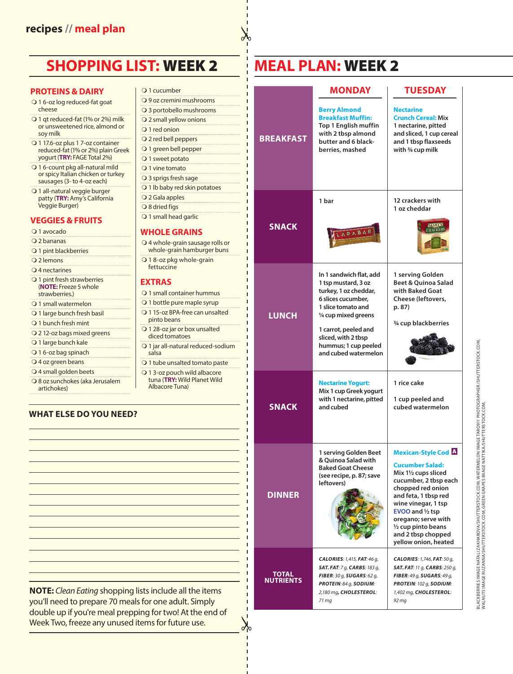### **SHOPPING LIST:** WEEK 2

#### **PROTEINS & DAIRY**

- O 16-oz log reduced-fat goat cheese
- O 1 qt reduced-fat (1% or 2%) milk or unsweetened rice, almond or soy milk
- O 1 17.6-oz plus 1 7-oz container reduced-fat (1% or 2%) plain Greek yogurt (**TRY:** FAGE Total 2%)
- O 16-count pkg all-natural mild or spicy Italian chicken or turkey sausages (3- to 4-oz each)
- O 1 all-natural veggie burger patty (**TRY:** Amy's California Veggie Burger)

#### **VEGGIES & FRUITS**

#### O 1 avocado

- 2 bananas O 1 pint blackberries 2 lemons O 4 nectarines O 1 pint fresh strawberries (**NOTE:** Freeze 5 whole strawberries.) O 1 small watermelon O 1 large bunch fresh basil O 1 bunch fresh mint 2 12-oz bags mixed greens O 1 large bunch kale O 16-oz bag spinach
- O 4 oz green beans
- 4 small golden beets
- 8 oz sunchokes (aka Jerusalem artichokes)

#### Q 1 cucumber 9 oz cremini mushrooms 3 portobello mushrooms 2 small yellow onions O 1 red onion O 2 red bell peppers O 1 green bell pepper O 1 sweet potato O 1 vine tomato O 3 sprigs fresh sage O 1 lb baby red skin potatoes 2 Gala apples O 8 dried figs O 1 small head garlic **WHOLE GRAINS**  4 whole-grain sausage rolls or whole-grain hamburger buns O 18-oz pkg whole-grain fettuccine

**EXTRAS**

- O 1 small container hummus
- O 1 bottle pure maple syrup
- O 1 15-oz BPA-free can unsalted pinto beans
- O 1 28-oz jar or box unsalted diced tomatoes
- O 1 jar all-natural reduced-sodium salsa
- O 1 tube unsalted tomato paste O 13-oz pouch wild albacore tuna (**TRY:** Wild Planet Wild
- Albacore Tuna)

 $\alpha$  $\gamma$ 

### **WHAT ELSE DO YOU NEED?**

**NOTE:** *Clean Eating* shopping lists include all the items you'll need to prepare 70 meals for one adult. Simply double up if you're meal prepping for two! At the end of Week Two, freeze any unused items for future use.

| <b>MEAL PLAN: WEEK 2</b> |
|--------------------------|
|--------------------------|

|                                       | <b>MONDAY</b>                                                                                                                                                                                                                              | <b>TUESDAY</b>                                                                                                                                                                                                                                                                                      |
|---------------------------------------|--------------------------------------------------------------------------------------------------------------------------------------------------------------------------------------------------------------------------------------------|-----------------------------------------------------------------------------------------------------------------------------------------------------------------------------------------------------------------------------------------------------------------------------------------------------|
| <b>BREAKFAST</b>                      | <b>Berry Almond</b><br><b>Breakfast Muffin:</b><br>Top 1 English muffin<br>with 2 tbsp almond<br>butter and 6 black-<br>berries, mashed                                                                                                    | <b>Nectarine</b><br><b>Crunch Cereal: Mix</b><br>1 nectarine, pitted<br>and sliced, 1 cup cereal<br>and 1 tbsp flaxseeds<br>with 3⁄4 cup milk                                                                                                                                                       |
| SNACK<br>ı<br>ı                       | 1 bar<br>LARABAR                                                                                                                                                                                                                           | 12 crackers with<br>1 oz cheddar                                                                                                                                                                                                                                                                    |
| <b>LUNCH</b><br>п                     | In 1 sandwich flat, add<br>1 tsp mustard, 3 oz<br>turkey, 1 oz cheddar,<br>6 slices cucumber.<br>1 slice tomato and<br>1/4 cup mixed greens<br>1 carrot, peeled and<br>sliced, with 2 tbsp<br>hummus; 1 cup peeled<br>and cubed watermelon | 1 serving Golden<br>Beet & Ouinoa Salad<br>with Baked Goat<br>Cheese (leftovers,<br>p. 87)<br>3/4 cup blackberries                                                                                                                                                                                  |
| ı<br>п<br>SNACK                       | <b>Nectarine Yogurt:</b><br>Mix 1 cup Greek yogurt<br>with 1 nectarine, pitted<br>and cubed                                                                                                                                                | 1 rice cake<br>1 cup peeled and<br>cubed watermelon                                                                                                                                                                                                                                                 |
| <b>DINNER</b>                         | 1 serving Golden Beet<br>& Ouinoa Salad with<br><b>Baked Goat Cheese</b><br>(see recipe, p. 87; save<br>leftovers)                                                                                                                         | <b>Mexican-Style Cod A</b><br><b>Cucumber Salad:</b><br>Mix 11/2 cups sliced<br>cucumber, 2 tbsp each<br>chopped red onion<br>and feta, 1 tbsp red<br>wine vinegar, 1 tsp<br>EVOO and 1/2 tsp<br>oregano; serve with<br>$\frac{1}{2}$ cup pinto beans<br>and 2 tbsp chopped<br>yellow onion, heated |
| <b>TOTAL</b><br><b>NUTRIENTS</b><br>ı | <b>CALORIES: 1,415, FAT: 46 q,</b><br><b>SAT. FAT:</b> 7 g, <b>CARBS:</b> 183 g,<br>FIBER: 30 g, SUGARS: 62 g,<br>PROTEIN: 84 g, SODIUM:<br>2,180 mg, CHOLESTEROL:<br>71 mg                                                                | CALORIES: 1,746, FAT: 50 q,<br><b>SAT. FAT: 11 g, CARBS: 250 g,</b><br>FIBER: 49 g, SUGARS: 49 g,<br>PROTEIN: 102 q, SODIUM:<br>1,402 mg, CHOLESTEROL:<br>92 mg                                                                                                                                     |